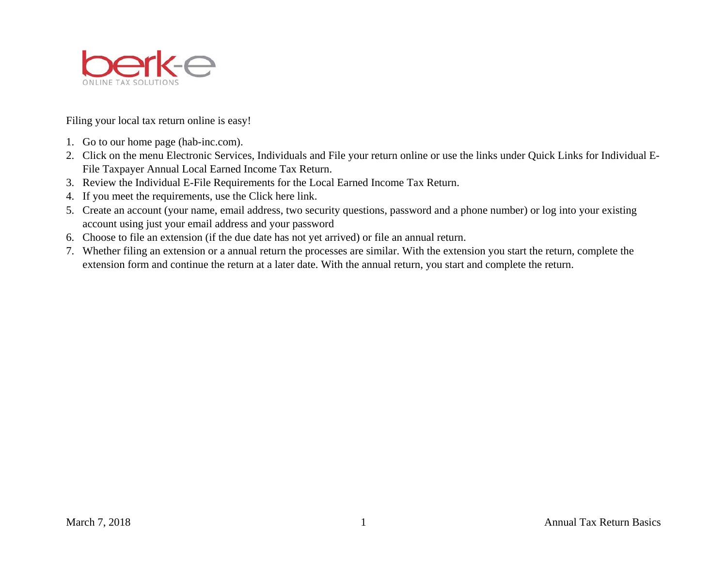

Filing your local tax return online is easy!

- 1. Go to our home page (hab-inc.com).
- 2. Click on the menu Electronic Services, Individuals and File your return online or use the links under Quick Links for Individual E-File Taxpayer Annual Local Earned Income Tax Return.
- 3. Review the Individual E-File Requirements for the Local Earned Income Tax Return.
- 4. If you meet the requirements, use the Click here link.
- 5. Create an account (your name, email address, two security questions, password and a phone number) or log into your existing account using just your email address and your password
- 6. Choose to file an extension (if the due date has not yet arrived) or file an annual return.
- 7. Whether filing an extension or a annual return the processes are similar. With the extension you start the return, complete the extension form and continue the return at a later date. With the annual return, you start and complete the return.